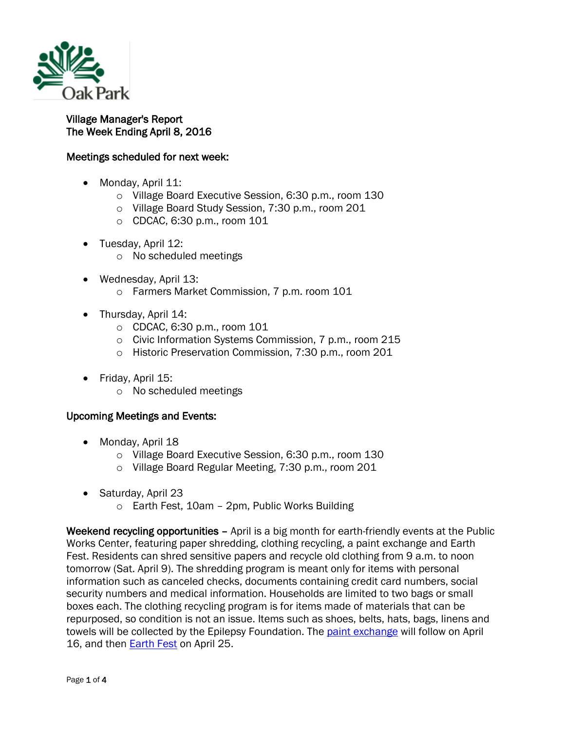

## Village Manager's Report The Week Ending April 8, 2016

## Meetings scheduled for next week:

- Monday, April 11:
	- o Village Board Executive Session, 6:30 p.m., room 130
	- o Village Board Study Session, 7:30 p.m., room 201
	- o CDCAC, 6:30 p.m., room 101
- Tuesday, April 12:
	- o No scheduled meetings
- Wednesday, April 13:
	- o Farmers Market Commission, 7 p.m. room 101
- Thursday, April 14:
	- o CDCAC, 6:30 p.m., room 101
	- o Civic Information Systems Commission, 7 p.m., room 215
	- o Historic Preservation Commission, 7:30 p.m., room 201
- Friday, April 15:
	- o No scheduled meetings

## Upcoming Meetings and Events:

- Monday, April 18
	- o Village Board Executive Session, 6:30 p.m., room 130
	- o Village Board Regular Meeting, 7:30 p.m., room 201
- Saturday, April 23
	- o Earth Fest, 10am 2pm, Public Works Building

Weekend recycling opportunities – April is a big month for earth-friendly events at the Public Works Center, featuring paper shredding, clothing recycling, a paint exchange and Earth Fest. Residents can shred sensitive papers and recycle old clothing from 9 a.m. to noon tomorrow (Sat. April 9). The shredding program is meant only for items with personal information such as canceled checks, documents containing credit card numbers, social security numbers and medical information. Households are limited to two bags or small boxes each. The clothing recycling program is for items made of materials that can be repurposed, so condition is not an issue. Items such as shoes, belts, hats, bags, linens and towels will be collected by the Epilepsy Foundation. The [paint exchange](http://www.oak-park.us/events/paint-exchange) will follow on April 16, and then **[Earth Fest](http://www.oak-park.us/village-services/refuse-recycling/earth-fest)** on April 25.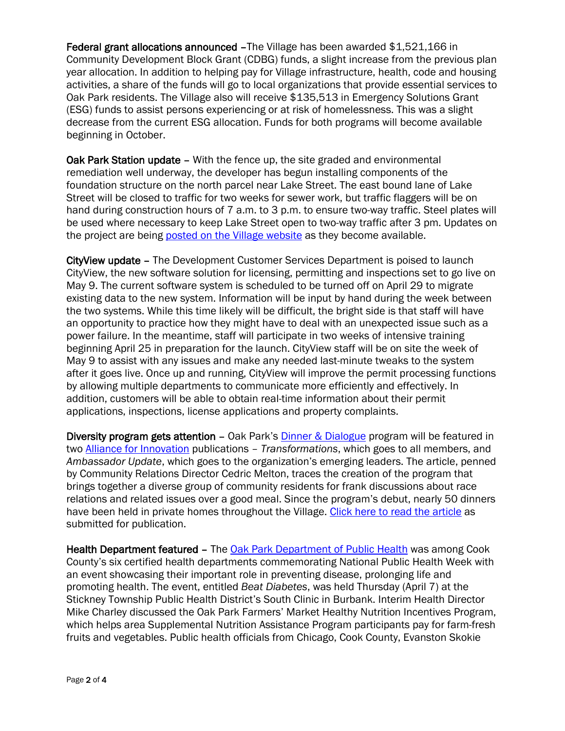Federal grant allocations announced –The Village has been awarded \$1,521,166 in Community Development Block Grant (CDBG) funds, a slight increase from the previous plan year allocation. In addition to helping pay for Village infrastructure, health, code and housing activities, a share of the funds will go to local organizations that provide essential services to Oak Park residents. The Village also will receive \$135,513 in Emergency Solutions Grant (ESG) funds to assist persons experiencing or at risk of homelessness. This was a slight decrease from the current ESG allocation. Funds for both programs will become available beginning in October.

Oak Park Station update - With the fence up, the site graded and environmental remediation well underway, the developer has begun installing components of the foundation structure on the north parcel near Lake Street. The east bound lane of Lake Street will be closed to traffic for two weeks for sewer work, but traffic flaggers will be on hand during construction hours of 7 a.m. to 3 p.m. to ensure two-way traffic. Steel plates will be used where necessary to keep Lake Street open to two-way traffic after 3 pm. Updates on the project are being [posted on the Village website](http://www.oak-park.us/village-services/planning/projects/lake-westgate-project-page) as they become available.

CityView update – The Development Customer Services Department is poised to launch CityView, the new software solution for licensing, permitting and inspections set to go live on May 9. The current software system is scheduled to be turned off on April 29 to migrate existing data to the new system. Information will be input by hand during the week between the two systems. While this time likely will be difficult, the bright side is that staff will have an opportunity to practice how they might have to deal with an unexpected issue such as a power failure. In the meantime, staff will participate in two weeks of intensive training beginning April 25 in preparation for the launch. CityView staff will be on site the week of May 9 to assist with any issues and make any needed last-minute tweaks to the system after it goes live. Once up and running, CityView will improve the permit processing functions by allowing multiple departments to communicate more efficiently and effectively. In addition, customers will be able to obtain real-time information about their permit applications, inspections, license applications and property complaints.

Diversity program gets attention - Oak Park's **Dinner & Dialogue** program will be featured in two [Alliance for Innovation](http://transformgov.org/en/home) publications – *Transformations*, which goes to all members, and *Ambassador Update*, which goes to the organization's emerging leaders. The article, penned by Community Relations Director Cedric Melton, traces the creation of the program that brings together a diverse group of community residents for frank discussions about race relations and related issues over a good meal. Since the program's debut, nearly 50 dinners have been held in private homes throughout the Village. [Click here to read the article](http://www.oak-park.us/sites/default/files/456678891/2013-03-28-oak-park-dinner-dialog-opens-minds-improves-understanding.pdf) as submitted for publication.

Health Department featured – The [Oak Park Department of Public Health](http://www.oak-park.us/village-services/department-public-health) was among Cook County's six certified health departments commemorating National Public Health Week with an event showcasing their important role in preventing disease, prolonging life and promoting health. The event, entitled *Beat Diabetes*, was held Thursday (April 7) at the Stickney Township Public Health District's South Clinic in Burbank. Interim Health Director Mike Charley discussed the Oak Park Farmers' Market Healthy Nutrition Incentives Program, which helps area Supplemental Nutrition Assistance Program participants pay for farm-fresh fruits and vegetables. Public health officials from Chicago, Cook County, Evanston Skokie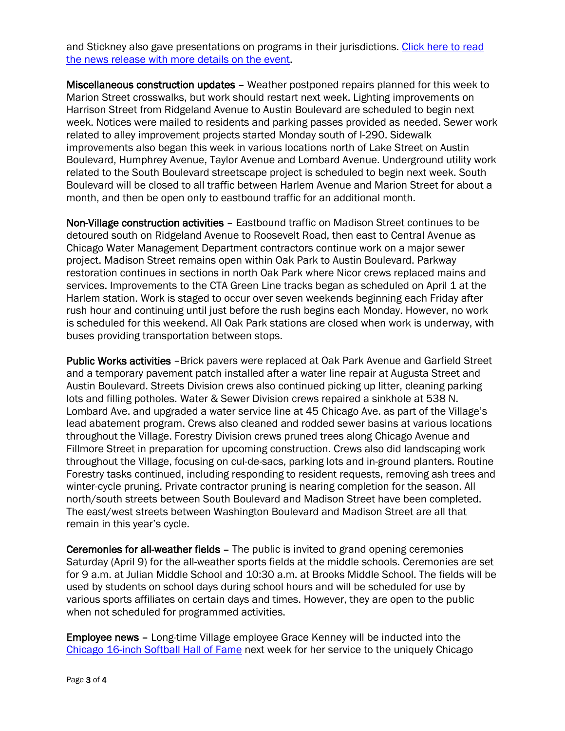and Stickney also gave presentations on programs in their jurisdictions. [Click here to read](http://www.oak-park.us/sites/default/files/456678891/2016-04-04-stickney_-health-event.pdf)  [the news release with more details on the event.](http://www.oak-park.us/sites/default/files/456678891/2016-04-04-stickney_-health-event.pdf)

Miscellaneous construction updates – Weather postponed repairs planned for this week to Marion Street crosswalks, but work should restart next week. Lighting improvements on Harrison Street from Ridgeland Avenue to Austin Boulevard are scheduled to begin next week. Notices were mailed to residents and parking passes provided as needed. Sewer work related to alley improvement projects started Monday south of I-290. Sidewalk improvements also began this week in various locations north of Lake Street on Austin Boulevard, Humphrey Avenue, Taylor Avenue and Lombard Avenue. Underground utility work related to the South Boulevard streetscape project is scheduled to begin next week. South Boulevard will be closed to all traffic between Harlem Avenue and Marion Street for about a month, and then be open only to eastbound traffic for an additional month.

Non-Village construction activities – Eastbound traffic on Madison Street continues to be detoured south on Ridgeland Avenue to Roosevelt Road, then east to Central Avenue as Chicago Water Management Department contractors continue work on a major sewer project. Madison Street remains open within Oak Park to Austin Boulevard. Parkway restoration continues in sections in north Oak Park where Nicor crews replaced mains and services. Improvements to the CTA Green Line tracks began as scheduled on April 1 at the Harlem station. Work is staged to occur over seven weekends beginning each Friday after rush hour and continuing until just before the rush begins each Monday. However, no work is scheduled for this weekend. All Oak Park stations are closed when work is underway, with buses providing transportation between stops.

Public Works activities -Brick pavers were replaced at Oak Park Avenue and Garfield Street and a temporary pavement patch installed after a water line repair at Augusta Street and Austin Boulevard. Streets Division crews also continued picking up litter, cleaning parking lots and filling potholes. Water & Sewer Division crews repaired a sinkhole at 538 N. Lombard Ave. and upgraded a water service line at 45 Chicago Ave. as part of the Village's lead abatement program. Crews also cleaned and rodded sewer basins at various locations throughout the Village. Forestry Division crews pruned trees along Chicago Avenue and Fillmore Street in preparation for upcoming construction. Crews also did landscaping work throughout the Village, focusing on cul-de-sacs, parking lots and in-ground planters. Routine Forestry tasks continued, including responding to resident requests, removing ash trees and winter-cycle pruning. Private contractor pruning is nearing completion for the season. All north/south streets between South Boulevard and Madison Street have been completed. The east/west streets between Washington Boulevard and Madison Street are all that remain in this year's cycle.

Ceremonies for all-weather fields – The public is invited to grand opening ceremonies Saturday (April 9) for the all-weather sports fields at the middle schools. Ceremonies are set for 9 a.m. at Julian Middle School and 10:30 a.m. at Brooks Middle School. The fields will be used by students on school days during school hours and will be scheduled for use by various sports affiliates on certain days and times. However, they are open to the public when not scheduled for programmed activities.

Employee news – Long-time Village employee Grace Kenney will be inducted into the [Chicago 16-inch Softball Hall of Fame](http://16inchsoftballhof.com/) next week for her service to the uniquely Chicago